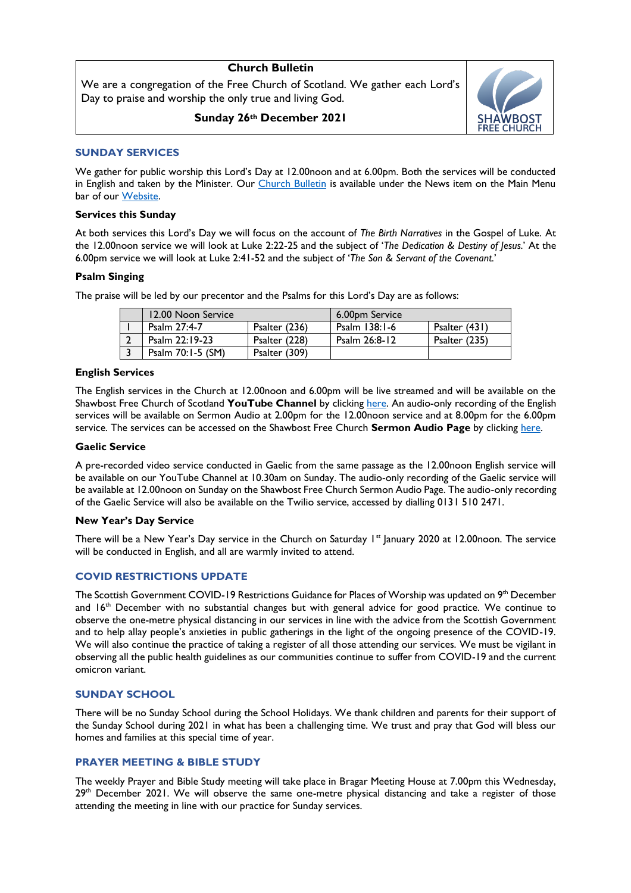# **Church Bulletin**

We are a congregation of the Free Church of Scotland. We gather each Lord's Day to praise and worship the only true and living God.

**Sunday 26th December 2021**



## **SUNDAY SERVICES**

We gather for public worship this Lord's Day at 12.00noon and at 6.00pm. Both the services will be conducted in English and taken by the Minister. Our [Church Bulletin](https://shawbostfreechurch.org/bulletin/) is available under the News item on the Main Menu bar of our [Website.](https://shawbostfreechurch.org/) 

### **Services this Sunday**

At both services this Lord's Day we will focus on the account of *The Birth Narratives* in the Gospel of Luke. At the 12.00noon service we will look at Luke 2:22-25 and the subject of '*The Dedication & Destiny of Jesus*.' At the 6.00pm service we will look at Luke 2:41-52 and the subject of '*The Son & Servant of the Covenant.*'

### **Psalm Singing**

The praise will be led by our precentor and the Psalms for this Lord's Day are as follows:

| 12.00 Noon Service |               | 6.00pm Service |               |
|--------------------|---------------|----------------|---------------|
| Psalm 27:4-7       | Psalter (236) | Psalm 138:1-6  | Psalter (431) |
| Psalm 22:19-23     | Psalter (228) | Psalm 26:8-12  | Psalter (235) |
| Psalm 70:1-5 (SM)  | Psalter (309) |                |               |

#### **English Services**

The English services in the Church at 12.00noon and 6.00pm will be live streamed and will be available on the Shawbost Free Church of Scotland **YouTube Channel** by clickin[g here.](https://www.youtube.com/channel/UC42KgHwA53YjnlpXyj8IU6g) An audio-only recording of the English services will be available on Sermon Audio at 2.00pm for the 12.00noon service and at 8.00pm for the 6.00pm service. The services can be accessed on the Shawbost Free Church **Sermon Audio Page** by clicking [here.](https://www.sermonaudio.com/source_detail.asp?sourceid=shawbostfreechurc) 

#### **Gaelic Service**

A pre-recorded video service conducted in Gaelic from the same passage as the 12.00noon English service will be available on our YouTube Channel at 10.30am on Sunday. The audio-only recording of the Gaelic service will be available at 12.00noon on Sunday on the Shawbost Free Church Sermon Audio Page. The audio-only recording of the Gaelic Service will also be available on the Twilio service, accessed by dialling 0131 510 2471.

### **New Year's Day Service**

There will be a New Year's Day service in the Church on Saturday 1<sup>st</sup> January 2020 at 12.00noon. The service will be conducted in English, and all are warmly invited to attend.

# **COVID RESTRICTIONS UPDATE**

The Scottish Government COVID-19 Restrictions Guidance for Places of Worship was updated on 9<sup>th</sup> December and 16<sup>th</sup> December with no substantial changes but with general advice for good practice. We continue to observe the one-metre physical distancing in our services in line with the advice from the Scottish Government and to help allay people's anxieties in public gatherings in the light of the ongoing presence of the COVID-19. We will also continue the practice of taking a register of all those attending our services. We must be vigilant in observing all the public health guidelines as our communities continue to suffer from COVID-19 and the current omicron variant.

### **SUNDAY SCHOOL**

There will be no Sunday School during the School Holidays. We thank children and parents for their support of the Sunday School during 2021 in what has been a challenging time. We trust and pray that God will bless our homes and families at this special time of year.

### **PRAYER MEETING & BIBLE STUDY**

The weekly Prayer and Bible Study meeting will take place in Bragar Meeting House at 7.00pm this Wednesday, 29<sup>th</sup> December 2021. We will observe the same one-metre physical distancing and take a register of those attending the meeting in line with our practice for Sunday services.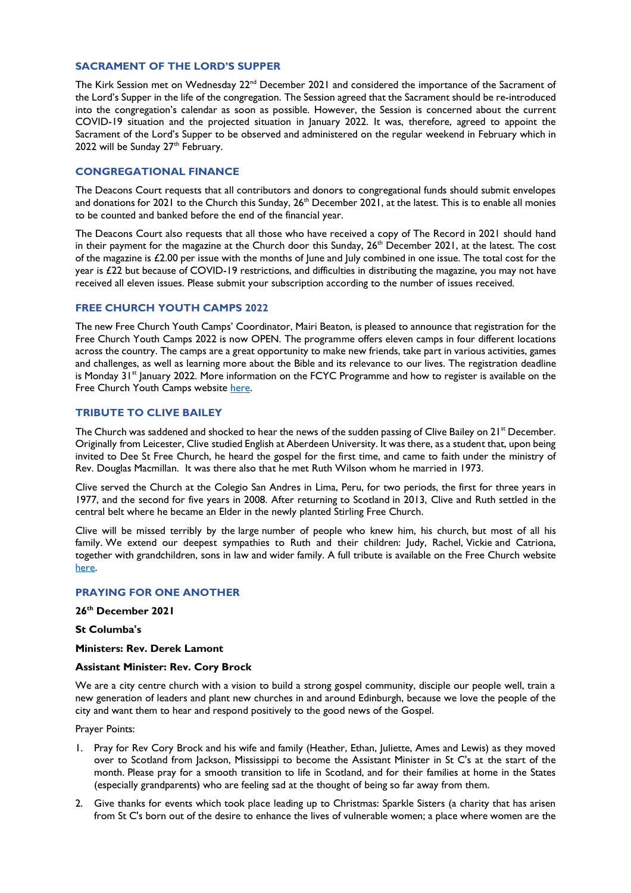## **SACRAMENT OF THE LORD'S SUPPER**

The Kirk Session met on Wednesday 22<sup>nd</sup> December 2021 and considered the importance of the Sacrament of the Lord's Supper in the life of the congregation. The Session agreed that the Sacrament should be re-introduced into the congregation's calendar as soon as possible. However, the Session is concerned about the current COVID-19 situation and the projected situation in January 2022. It was, therefore, agreed to appoint the Sacrament of the Lord's Supper to be observed and administered on the regular weekend in February which in 2022 will be Sunday  $27<sup>th</sup>$  February.

## **CONGREGATIONAL FINANCE**

The Deacons Court requests that all contributors and donors to congregational funds should submit envelopes and donations for 2021 to the Church this Sunday, 26<sup>th</sup> December 2021, at the latest. This is to enable all monies to be counted and banked before the end of the financial year.

The Deacons Court also requests that all those who have received a copy of The Record in 2021 should hand in their payment for the magazine at the Church door this Sunday, 26<sup>th</sup> December 2021, at the latest. The cost of the magazine is £2.00 per issue with the months of June and July combined in one issue. The total cost for the year is £22 but because of COVID-19 restrictions, and difficulties in distributing the magazine, you may not have received all eleven issues. Please submit your subscription according to the number of issues received.

## **FREE CHURCH YOUTH CAMPS 2022**

The new Free Church Youth Camps' Coordinator, Mairi Beaton, is pleased to announce that registration for the Free Church Youth Camps 2022 is now OPEN. The programme offers eleven camps in four different locations across the country. The camps are a great opportunity to make new friends, take part in various activities, games and challenges, as well as learning more about the Bible and its relevance to our lives. The registration deadline is Monday  $31<sup>st</sup>$  January 2022. More information on the FCYC Programme and how to register is available on the Free Church Youth Camps website [here.](https://freechurchyouthcamps.org/)

## **TRIBUTE TO CLIVE BAILEY**

The Church was saddened and shocked to hear the news of the sudden passing of Clive Bailey on  $21^{st}$  December. Originally from Leicester, Clive studied English at Aberdeen University. It was there, as a student that, upon being invited to Dee St Free Church, he heard the gospel for the first time, and came to faith under the ministry of Rev. Douglas Macmillan. It was there also that he met Ruth Wilson whom he married in 1973.

Clive served the Church at the Colegio San Andres in Lima, Peru, for two periods, the first for three years in 1977, and the second for five years in 2008. After returning to Scotland in 2013, Clive and Ruth settled in the central belt where he became an Elder in the newly planted Stirling Free Church.

Clive will be missed terribly by the large number of people who knew him, his church, but most of all his family. We extend our deepest sympathies to Ruth and their children: Judy, Rachel, Vickie and Catriona, together with grandchildren, sons in law and wider family. A full tribute is available on the Free Church website [here.](https://freechurch.org/sudden-death-of-clive-bailey/) 

### **PRAYING FOR ONE ANOTHER**

**26th December 2021**

# **St Columba's**

**Ministers: Rev. Derek Lamont**

#### **Assistant Minister: Rev. Cory Brock**

We are a city centre church with a vision to build a strong gospel community, disciple our people well, train a new generation of leaders and plant new churches in and around Edinburgh, because we love the people of the city and want them to hear and respond positively to the good news of the Gospel.

Prayer Points:

- 1. Pray for Rev Cory Brock and his wife and family (Heather, Ethan, Juliette, Ames and Lewis) as they moved over to Scotland from Jackson, Mississippi to become the Assistant Minister in St C's at the start of the month. Please pray for a smooth transition to life in Scotland, and for their families at home in the States (especially grandparents) who are feeling sad at the thought of being so far away from them.
- 2. Give thanks for events which took place leading up to Christmas: Sparkle Sisters (a charity that has arisen from St C's born out of the desire to enhance the lives of vulnerable women; a place where women are the